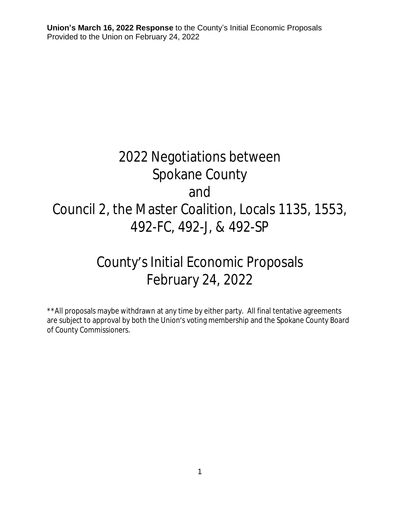# 2022 Negotiations between Spokane County and Council 2, the Master Coalition, Locals 1135, 1553, 492-FC, 492-J, & 492-SP

# County's Initial Economic Proposals February 24, 2022

\*\*All proposals maybe withdrawn at any time by either party. All final tentative agreements are subject to approval by both the Union's voting membership and the Spokane County Board of County Commissioners.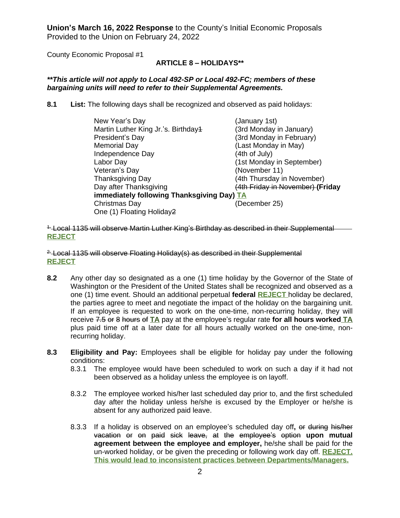County Economic Proposal #1

# **ARTICLE 8 – HOLIDAYS\*\***

#### *\*\*This article will not apply to Local 492-SP or Local 492-FC; members of these bargaining units will need to refer to their Supplemental Agreements.*

**8.1 List:** The following days shall be recognized and observed as paid holidays:

| New Year's Day                             | (January 1st)                    |  |
|--------------------------------------------|----------------------------------|--|
| Martin Luther King Jr.'s. Birthday4        | (3rd Monday in January)          |  |
| President's Day                            | (3rd Monday in February)         |  |
| <b>Memorial Day</b>                        | (Last Monday in May)             |  |
| Independence Day                           | (4th of July)                    |  |
| Labor Day                                  | (1st Monday in September)        |  |
| Veteran's Day                              | (November 11)                    |  |
| <b>Thanksgiving Day</b>                    | (4th Thursday in November)       |  |
| Day after Thanksgiving                     | (4th Friday in November) (Friday |  |
| immediately following Thanksgiving Day) TA |                                  |  |
| Christmas Day                              | (December 25)                    |  |
| One (1) Floating Holiday2                  |                                  |  |

<sup>1-</sup> Local 1135 will observe Martin Luther King's Birthday as described in their Supplemental **REJECT**

<sup>2.</sup> Local 1135 will observe Floating Holiday(s) as described in their Supplemental **REJECT**

- **8.2** Any other day so designated as a one (1) time holiday by the Governor of the State of Washington or the President of the United States shall be recognized and observed as a one (1) time event. Should an additional perpetual **federal REJECT** holiday be declared, the parties agree to meet and negotiate the impact of the holiday on the bargaining unit. If an employee is requested to work on the one-time, non-recurring holiday, they will receive 7.5 or 8 hours of **TA** pay at the employee's regular rate **for all hours worked TA** plus paid time off at a later date for all hours actually worked on the one-time, nonrecurring holiday.
- **8.3 Eligibility and Pay:** Employees shall be eligible for holiday pay under the following conditions:
	- 8.3.1 The employee would have been scheduled to work on such a day if it had not been observed as a holiday unless the employee is on layoff.
	- 8.3.2 The employee worked his/her last scheduled day prior to, and the first scheduled day after the holiday unless he/she is excused by the Employer or he/she is absent for any authorized paid leave.
	- 8.3.3 If a holiday is observed on an employee's scheduled day off**,** or during his/her vacation or on paid sick leave, at the employee's option **upon mutual agreement between the employee and employer,** he/she shall be paid for the un-worked holiday, or be given the preceding or following work day off. **REJECT. This would lead to inconsistent practices between Departments/Managers.**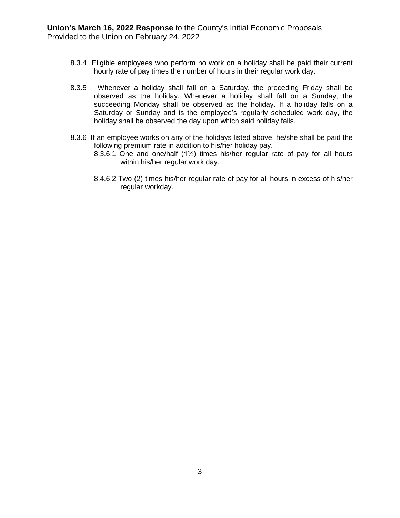- 8.3.4 Eligible employees who perform no work on a holiday shall be paid their current hourly rate of pay times the number of hours in their regular work day.
- 8.3.5 Whenever a holiday shall fall on a Saturday, the preceding Friday shall be observed as the holiday. Whenever a holiday shall fall on a Sunday, the succeeding Monday shall be observed as the holiday. If a holiday falls on a Saturday or Sunday and is the employee's regularly scheduled work day, the holiday shall be observed the day upon which said holiday falls.
- 8.3.6 If an employee works on any of the holidays listed above, he/she shall be paid the following premium rate in addition to his/her holiday pay.
	- 8.3.6.1 One and one/half (1½) times his/her regular rate of pay for all hours within his/her regular work day.
	- 8.4.6.2 Two (2) times his/her regular rate of pay for all hours in excess of his/her regular workday.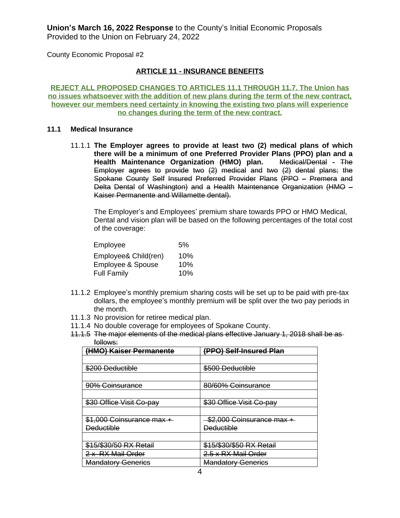County Economic Proposal #2

# **ARTICLE 11 - INSURANCE BENEFITS**

**REJECT ALL PROPOSED CHANGES TO ARTICLES 11.1 THROUGH 11.7. The Union has no issues whatsoever with the addition of new plans during the term of the new contract, however our members need certainty in knowing the existing two plans will experience no changes during the term of the new contract.**

#### **11.1 Medical Insurance**

11.1.1 **The Employer agrees to provide at least two (2) medical plans of which there will be a minimum of one Preferred Provider Plans (PPO) plan and a Health Maintenance Organization (HMO) plan.** Medical/Dental - The Employer agrees to provide two (2) medical and two (2) dental plans; the Spokane County Self Insured Preferred Provider Plans (PPO – Premera and Delta Dental of Washington) and a Health Maintenance Organization (HMO – Kaiser Permanente and Willamette dental).

The Employer's and Employees' premium share towards PPO or HMO Medical, Dental and vision plan will be based on the following percentages of the total cost of the coverage:

| Employee             | 5%  |
|----------------------|-----|
| Employee& Child(ren) | 10% |
| Employee & Spouse    | 10% |
| <b>Full Family</b>   | 10% |

- 11.1.2 Employee's monthly premium sharing costs will be set up to be paid with pre-tax dollars, the employee's monthly premium will be split over the two pay periods in the month.
- 11.1.3 No provision for retiree medical plan.
- 11.1.4 No double coverage for employees of Spokane County.
- 11.1.5 The major elements of the medical plans effective January 1, 2018 shall be as follows:

| (HMO) Kaiser Permanente   | (PPO) Self-Insured Plan   |
|---------------------------|---------------------------|
|                           |                           |
| \$200 Deductible          | \$500 Deductible          |
|                           |                           |
| 90% Coinsurance           | 80/60% Coinsurance        |
|                           |                           |
| \$30 Office Visit Co-pay  | \$30 Office Visit Co-pay  |
|                           |                           |
| \$1,000 Coinsurance max + | \$2,000 Coinsurance max + |
| <b>Deductible</b>         | <b>Deductible</b>         |
|                           |                           |
| \$15/\$30/50 RX Retail    | \$15/\$30/\$50 RX Retail  |
| 2 x RX Mail Order         | 2.5 x RX Mail Order       |
| <b>Mandatory Generics</b> | <b>Mandatory Generics</b> |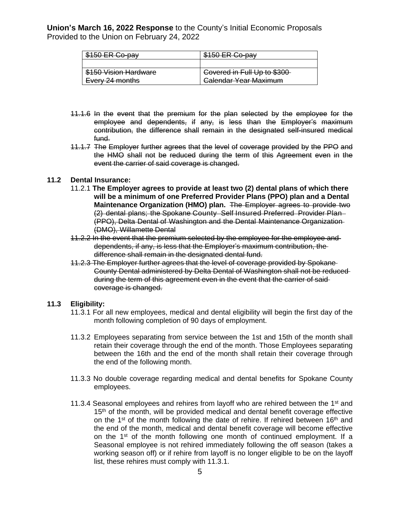| 150 ER Co.                 |                              |
|----------------------------|------------------------------|
|                            |                              |
| \$150 Vision Hardware      | Covered in Full Up to \$300  |
| <del>Every 24 months</del> | <b>Calendar Year Maximum</b> |

- 11.1.6 In the event that the premium for the plan selected by the employee for the employee and dependents, if any, is less than the Employer's maximum contribution, the difference shall remain in the designated self-insured medical fund.
- 11.1.7 The Employer further agrees that the level of coverage provided by the PPO and the HMO shall not be reduced during the term of this Agreement even in the event the carrier of said coverage is changed.

#### **11.2 Dental Insurance:**

- 11.2.1 **The Employer agrees to provide at least two (2) dental plans of which there will be a minimum of one Preferred Provider Plans (PPO) plan and a Dental Maintenance Organization (HMO) plan.** The Employer agrees to provide two (2) dental plans; the Spokane County Self Insured Preferred Provider Plan (PPO), Delta Dental of Washington and the Dental Maintenance Organization (DMO), Willamette Dental
- 11.2.2 In the event that the premium selected by the employee for the employee and dependents, if any, is less that the Employer's maximum contribution, the difference shall remain in the designated dental fund.
- 11.2.3 The Employer further agrees that the level of coverage provided by Spokane County Dental administered by Delta Dental of Washington shall not be reduced during the term of this agreement even in the event that the carrier of said coverage is changed.

#### **11.3 Eligibility:**

- 11.3.1 For all new employees, medical and dental eligibility will begin the first day of the month following completion of 90 days of employment.
- 11.3.2 Employees separating from service between the 1st and 15th of the month shall retain their coverage through the end of the month. Those Employees separating between the 16th and the end of the month shall retain their coverage through the end of the following month.
- 11.3.3 No double coverage regarding medical and dental benefits for Spokane County employees.
- 11.3.4 Seasonal employees and rehires from layoff who are rehired between the  $1<sup>st</sup>$  and 15<sup>th</sup> of the month, will be provided medical and dental benefit coverage effective on the 1<sup>st</sup> of the month following the date of rehire. If rehired between 16<sup>th</sup> and the end of the month, medical and dental benefit coverage will become effective on the 1<sup>st</sup> of the month following one month of continued employment. If a Seasonal employee is not rehired immediately following the off season (takes a working season off) or if rehire from layoff is no longer eligible to be on the layoff list, these rehires must comply with 11.3.1.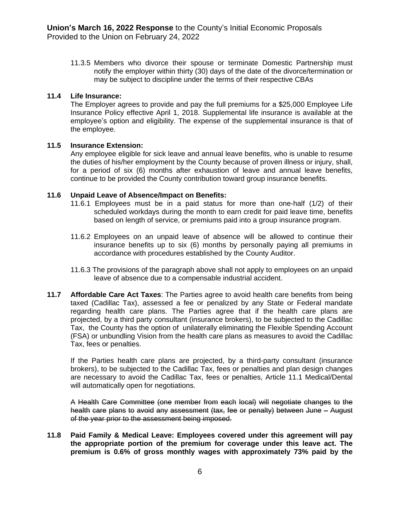11.3.5 Members who divorce their spouse or terminate Domestic Partnership must notify the employer within thirty (30) days of the date of the divorce/termination or may be subject to discipline under the terms of their respective CBAs

#### **11.4 Life Insurance:**

The Employer agrees to provide and pay the full premiums for a \$25,000 Employee Life Insurance Policy effective April 1, 2018. Supplemental life insurance is available at the employee's option and eligibility. The expense of the supplemental insurance is that of the employee.

#### **11.5 Insurance Extension:**

Any employee eligible for sick leave and annual leave benefits, who is unable to resume the duties of his/her employment by the County because of proven illness or injury, shall, for a period of six (6) months after exhaustion of leave and annual leave benefits, continue to be provided the County contribution toward group insurance benefits.

#### **11.6 Unpaid Leave of Absence/Impact on Benefits:**

- 11.6.1 Employees must be in a paid status for more than one-half (1/2) of their scheduled workdays during the month to earn credit for paid leave time, benefits based on length of service, or premiums paid into a group insurance program.
- 11.6.2 Employees on an unpaid leave of absence will be allowed to continue their insurance benefits up to six (6) months by personally paying all premiums in accordance with procedures established by the County Auditor.
- 11.6.3 The provisions of the paragraph above shall not apply to employees on an unpaid leave of absence due to a compensable industrial accident.
- **11.7 Affordable Care Act Taxes**: The Parties agree to avoid health care benefits from being taxed (Cadillac Tax), assessed a fee or penalized by any State or Federal mandate regarding health care plans. The Parties agree that if the health care plans are projected, by a third party consultant (insurance brokers), to be subjected to the Cadillac Tax, the County has the option of unilaterally eliminating the Flexible Spending Account (FSA) or unbundling Vision from the health care plans as measures to avoid the Cadillac Tax, fees or penalties.

If the Parties health care plans are projected, by a third-party consultant (insurance brokers), to be subjected to the Cadillac Tax, fees or penalties and plan design changes are necessary to avoid the Cadillac Tax, fees or penalties, Article 11.1 Medical/Dental will automatically open for negotiations.

A Health Care Committee (one member from each local) will negotiate changes to the health care plans to avoid any assessment (tax, fee or penalty) between June - August of the year prior to the assessment being imposed.

**11.8 Paid Family & Medical Leave: Employees covered under this agreement will pay the appropriate portion of the premium for coverage under this leave act. The premium is 0.6% of gross monthly wages with approximately 73% paid by the**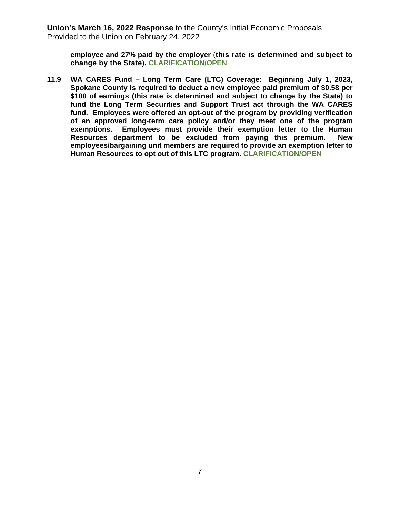**employee and 27% paid by the employer** (**this rate is determined and subject to change by the State**)**. CLARIFICATION/OPEN**

**11.9 WA CARES Fund – Long Term Care (LTC) Coverage: Beginning July 1, 2023, Spokane County is required to deduct a new employee paid premium of \$0.58 per \$100 of earnings (this rate is determined and subject to change by the State) to fund the Long Term Securities and Support Trust act through the WA CARES fund. Employees were offered an opt-out of the program by providing verification of an approved long-term care policy and/or they meet one of the program exemptions. Employees must provide their exemption letter to the Human Resources department to be excluded from paying this premium. New employees/bargaining unit members are required to provide an exemption letter to Human Resources to opt out of this LTC program. CLARIFICATION/OPEN**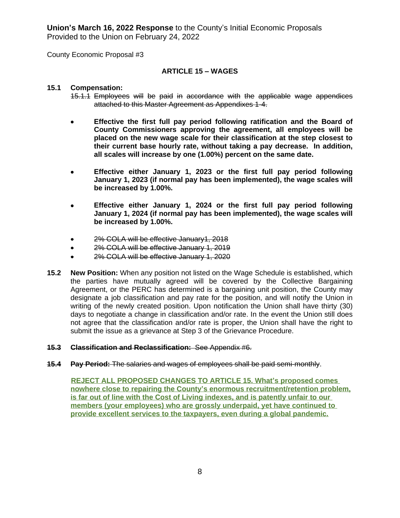County Economic Proposal #3

# **ARTICLE 15 – WAGES**

#### **15.1 Compensation:**

- 15.1.1 Employees will be paid in accordance with the applicable wage appendices attached to this Master Agreement as Appendixes 1-4.
- **Effective the first full pay period following ratification and the Board of County Commissioners approving the agreement, all employees will be placed on the new wage scale for their classification at the step closest to their current base hourly rate, without taking a pay decrease. In addition, all scales will increase by one (1.00%) percent on the same date.**
- **Effective either January 1, 2023 or the first full pay period following January 1, 2023 (if normal pay has been implemented), the wage scales will be increased by 1.00%.**
- **Effective either January 1, 2024 or the first full pay period following January 1, 2024 (if normal pay has been implemented), the wage scales will be increased by 1.00%.**
- 2% COLA will be effective January1, 2018
- **2% COLA will be effective January 1, 2019**
- 2% COLA will be effective January 1, 2020
- **15.2 New Position:** When any position not listed on the Wage Schedule is established, which the parties have mutually agreed will be covered by the Collective Bargaining Agreement, or the PERC has determined is a bargaining unit position, the County may designate a job classification and pay rate for the position, and will notify the Union in writing of the newly created position. Upon notification the Union shall have thirty (30) days to negotiate a change in classification and/or rate. In the event the Union still does not agree that the classification and/or rate is proper, the Union shall have the right to submit the issue as a grievance at Step 3 of the Grievance Procedure.

#### **15.3 Classification and Reclassification:** See Appendix #6.

**15.4 Pay Period:** The salaries and wages of employees shall be paid semi-monthly.

 **REJECT ALL PROPOSED CHANGES TO ARTICLE 15. What's proposed comes nowhere close to repairing the County's enormous recruitment/retention problem, is far out of line with the Cost of Living indexes, and is patently unfair to our members (your employees) who are grossly underpaid, yet have continued to provide excellent services to the taxpayers, even during a global pandemic.**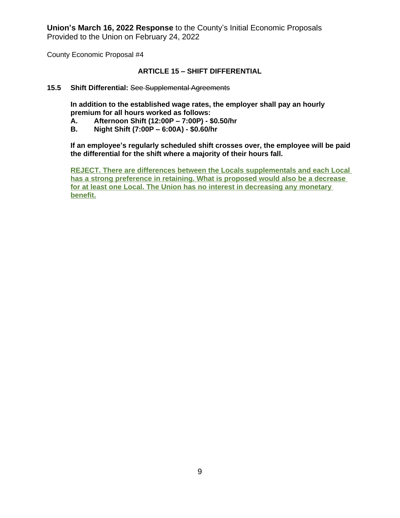County Economic Proposal #4

# **ARTICLE 15 – SHIFT DIFFERENTIAL**

#### **15.5 Shift Differential:** See Supplemental Agreements

**In addition to the established wage rates, the employer shall pay an hourly premium for all hours worked as follows:**

- **A. Afternoon Shift (12:00P – 7:00P) \$0.50/hr**
- **B. Night Shift (7:00P – 6:00A) \$0.60/hr**

**If an employee's regularly scheduled shift crosses over, the employee will be paid the differential for the shift where a majority of their hours fall.**

**REJECT. There are differences between the Locals supplementals and each Local has a strong preference in retaining. What is proposed would also be a decrease for at least one Local. The Union has no interest in decreasing any monetary benefit.**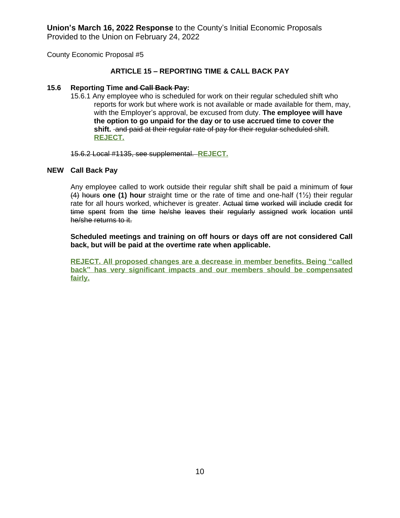County Economic Proposal #5

# **ARTICLE 15 – REPORTING TIME & CALL BACK PAY**

#### **15.6 Reporting Time and Call Back Pay:**

15.6.1 Any employee who is scheduled for work on their regular scheduled shift who reports for work but where work is not available or made available for them, may, with the Employer's approval, be excused from duty. **The employee will have the option to go unpaid for the day or to use accrued time to cover the shift.** and paid at their regular rate of pay for their regular scheduled shift. **REJECT.**

15.6.2 Local #1135, see supplemental. **REJECT.**

#### **NEW Call Back Pay**

Any employee called to work outside their regular shift shall be paid a minimum of four (4) hours **one (1) hour** straight time or the rate of time and one-half (1½) their regular rate for all hours worked, whichever is greater. Actual time worked will include credit for time spent from the time he/she leaves their regularly assigned work location until he/she returns to it.

**Scheduled meetings and training on off hours or days off are not considered Call back, but will be paid at the overtime rate when applicable.**

**REJECT. All proposed changes are a decrease in member benefits. Being "called back" has very significant impacts and our members should be compensated fairly.**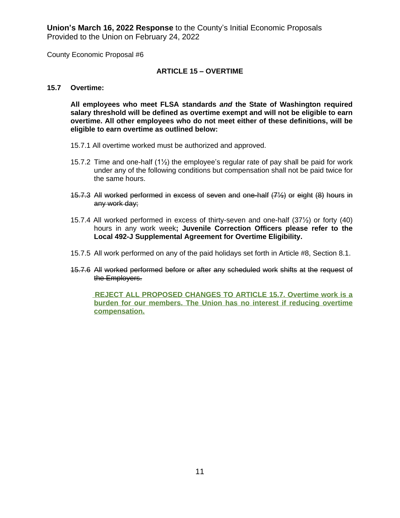County Economic Proposal #6

# **ARTICLE 15 – OVERTIME**

#### **15.7 Overtime:**

**All employees who meet FLSA standards** *and* **the State of Washington required salary threshold will be defined as overtime exempt and will not be eligible to earn overtime. All other employees who do not meet either of these definitions, will be eligible to earn overtime as outlined below:**

- 15.7.1 All overtime worked must be authorized and approved.
- 15.7.2 Time and one-half  $(1/2)$  the employee's regular rate of pay shall be paid for work under any of the following conditions but compensation shall not be paid twice for the same hours.
- 15.7.3 All worked performed in excess of seven and one-half (7½) or eight (8) hours in any work day;
- 15.7.4 All worked performed in excess of thirty-seven and one-half (37½) or forty (40) hours in any work week**; Juvenile Correction Officers please refer to the Local 492-J Supplemental Agreement for Overtime Eligibility.**
- 15.7.5 All work performed on any of the paid holidays set forth in Article #8, Section 8.1.
- 15.7.6 All worked performed before or after any scheduled work shifts at the request of the Employers.

 **REJECT ALL PROPOSED CHANGES TO ARTICLE 15.7. Overtime work is a burden for our members. The Union has no interest if reducing overtime compensation.**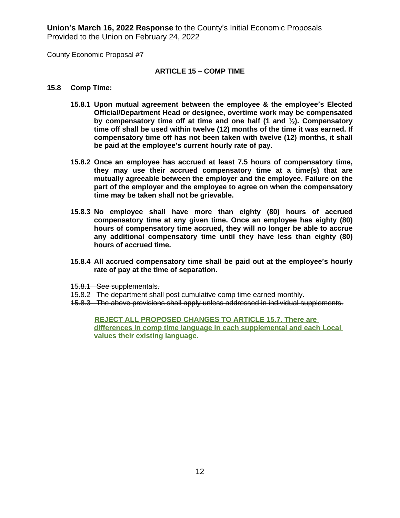County Economic Proposal #7

#### **ARTICLE 15 – COMP TIME**

#### **15.8 Comp Time:**

- **15.8.1 Upon mutual agreement between the employee & the employee's Elected Official/Department Head or designee, overtime work may be compensated by compensatory time off at time and one half (1 and ½). Compensatory time off shall be used within twelve (12) months of the time it was earned. If compensatory time off has not been taken with twelve (12) months, it shall be paid at the employee's current hourly rate of pay.**
- **15.8.2 Once an employee has accrued at least 7.5 hours of compensatory time, they may use their accrued compensatory time at a time(s) that are mutually agreeable between the employer and the employee. Failure on the part of the employer and the employee to agree on when the compensatory time may be taken shall not be grievable.**
- **15.8.3 No employee shall have more than eighty (80) hours of accrued compensatory time at any given time. Once an employee has eighty (80) hours of compensatory time accrued, they will no longer be able to accrue any additional compensatory time until they have less than eighty (80) hours of accrued time.**
- **15.8.4 All accrued compensatory time shall be paid out at the employee's hourly rate of pay at the time of separation.**
- 15.8.1 See supplementals.
- 15.8.2 The department shall post cumulative comp time earned monthly.
- 15.8.3 The above provisions shall apply unless addressed in individual supplements.

 **REJECT ALL PROPOSED CHANGES TO ARTICLE 15.7. There are differences in comp time language in each supplemental and each Local values their existing language.**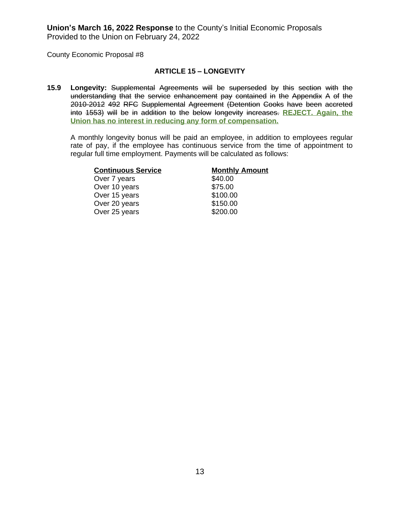County Economic Proposal #8

#### **ARTICLE 15 – LONGEVITY**

**15.9 Longevity:** Supplemental Agreements will be superseded by this section with the understanding that the service enhancement pay contained in the Appendix A of the 2010-2012 492 RFC Supplemental Agreement (Detention Cooks have been accreted into 1553) will be in addition to the below longevity increases. **REJECT. Again, the Union has no interest in reducing any form of compensation.**

A monthly longevity bonus will be paid an employee, in addition to employees regular rate of pay, if the employee has continuous service from the time of appointment to regular full time employment. Payments will be calculated as follows:

| <b>Continuous Service</b> | <b>Monthly Amount</b> |
|---------------------------|-----------------------|
| Over 7 years              | \$40.00               |
| Over 10 years             | \$75.00               |
| Over 15 years             | \$100.00              |
| Over 20 years             | \$150.00              |
| Over 25 years             | \$200.00              |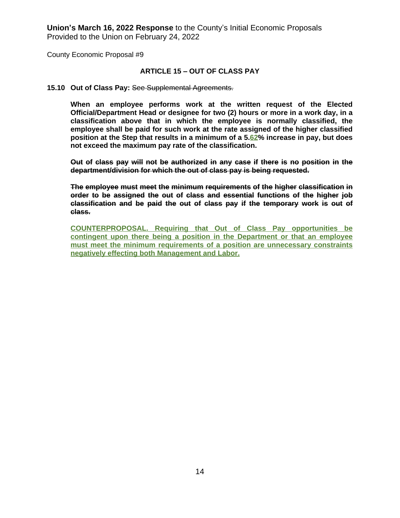County Economic Proposal #9

#### **ARTICLE 15 – OUT OF CLASS PAY**

#### **15.10 Out of Class Pay:** See Supplemental Agreements.

**When an employee performs work at the written request of the Elected Official/Department Head or designee for two (2) hours or more in a work day, in a classification above that in which the employee is normally classified, the employee shall be paid for such work at the rate assigned of the higher classified position at the Step that results in a minimum of a 5.62% increase in pay, but does not exceed the maximum pay rate of the classification.**

**Out of class pay will not be authorized in any case if there is no position in the department/division for which the out of class pay is being requested.**

**The employee must meet the minimum requirements of the higher classification in order to be assigned the out of class and essential functions of the higher job classification and be paid the out of class pay if the temporary work is out of class.**

**COUNTERPROPOSAL. Requiring that Out of Class Pay opportunities be contingent upon there being a position in the Department or that an employee must meet the minimum requirements of a position are unnecessary constraints negatively effecting both Management and Labor.**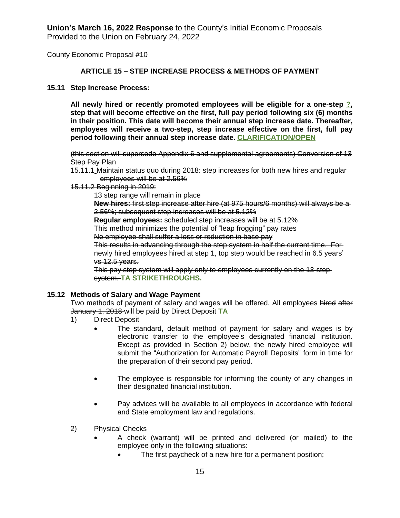County Economic Proposal #10

# **ARTICLE 15 – STEP INCREASE PROCESS & METHODS OF PAYMENT**

#### **15.11 Step Increase Process:**

**All newly hired or recently promoted employees will be eligible for a one-step ?, step that will become effective on the first, full pay period following six (6) months in their position. This date will become their annual step increase date. Thereafter, employees will receive a two-step, step increase effective on the first, full pay period following their annual step increase date. CLARIFICATION/OPEN**

(this section will supersede Appendix 6 and supplemental agreements) Conversion of 13 **Step Pay Plan** 

- 15.11.1 Maintain status quo during 2018: step increases for both new hires and regular employees will be at 2.56%
- 15.11.2 Beginning in 2019:

13 step range will remain in place

**New hires:** first step increase after hire (at 975 hours/6 months) will always be a 2.56%; subsequent step increases will be at 5.12%

**Regular employees:** scheduled step increases will be at 5.12%

This method minimizes the potential of "leap frogging" pay rates

No employee shall suffer a loss or reduction in base pay

This results in advancing through the step system in half the current time. For newly hired employees hired at step 1, top step would be reached in 6.5 years' vs 12.5 years.

This pay step system will apply only to employees currently on the 13-step system. **TA STRIKETHROUGHS.**

# **15.12 Methods of Salary and Wage Payment**

Two methods of payment of salary and wages will be offered. All employees hired after January 1, 2018 will be paid by Direct Deposit **TA**

- 1) Direct Deposit
	- The standard, default method of payment for salary and wages is by electronic transfer to the employee's designated financial institution. Except as provided in Section 2) below, the newly hired employee will submit the "Authorization for Automatic Payroll Deposits" form in time for the preparation of their second pay period.
	- The employee is responsible for informing the county of any changes in their designated financial institution.
	- Pay advices will be available to all employees in accordance with federal and State employment law and regulations.
- 2) Physical Checks
	- A check (warrant) will be printed and delivered (or mailed) to the employee only in the following situations:
		- The first paycheck of a new hire for a permanent position;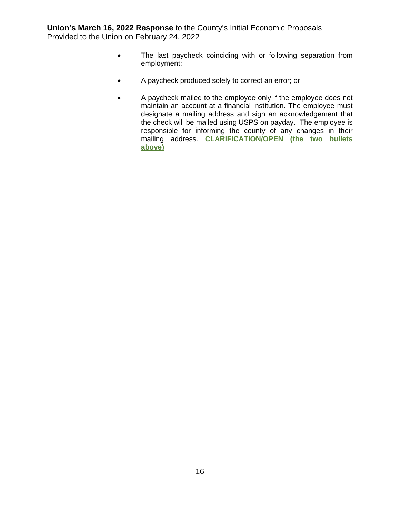- The last paycheck coinciding with or following separation from employment;
- A paycheck produced solely to correct an error; or
- A paycheck mailed to the employee only if the employee does not maintain an account at a financial institution. The employee must designate a mailing address and sign an acknowledgement that the check will be mailed using USPS on payday. The employee is responsible for informing the county of any changes in their mailing address. **CLARIFICATION/OPEN (the two bullets above)**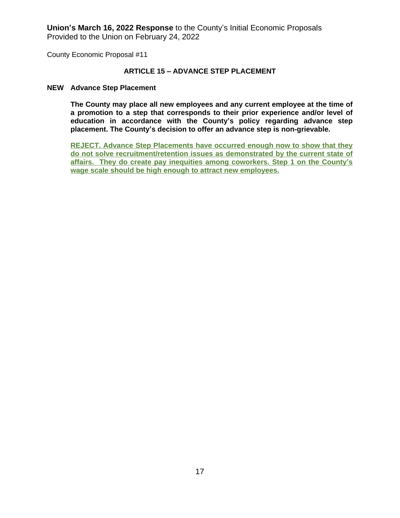County Economic Proposal #11

#### **ARTICLE 15 – ADVANCE STEP PLACEMENT**

#### **NEW Advance Step Placement**

**The County may place all new employees and any current employee at the time of a promotion to a step that corresponds to their prior experience and/or level of education in accordance with the County's policy regarding advance step placement. The County's decision to offer an advance step is non-grievable.**

**REJECT. Advance Step Placements have occurred enough now to show that they do not solve recruitment/retention issues as demonstrated by the current state of affairs. They do create pay inequities among coworkers. Step 1 on the County's wage scale should be high enough to attract new employees.**